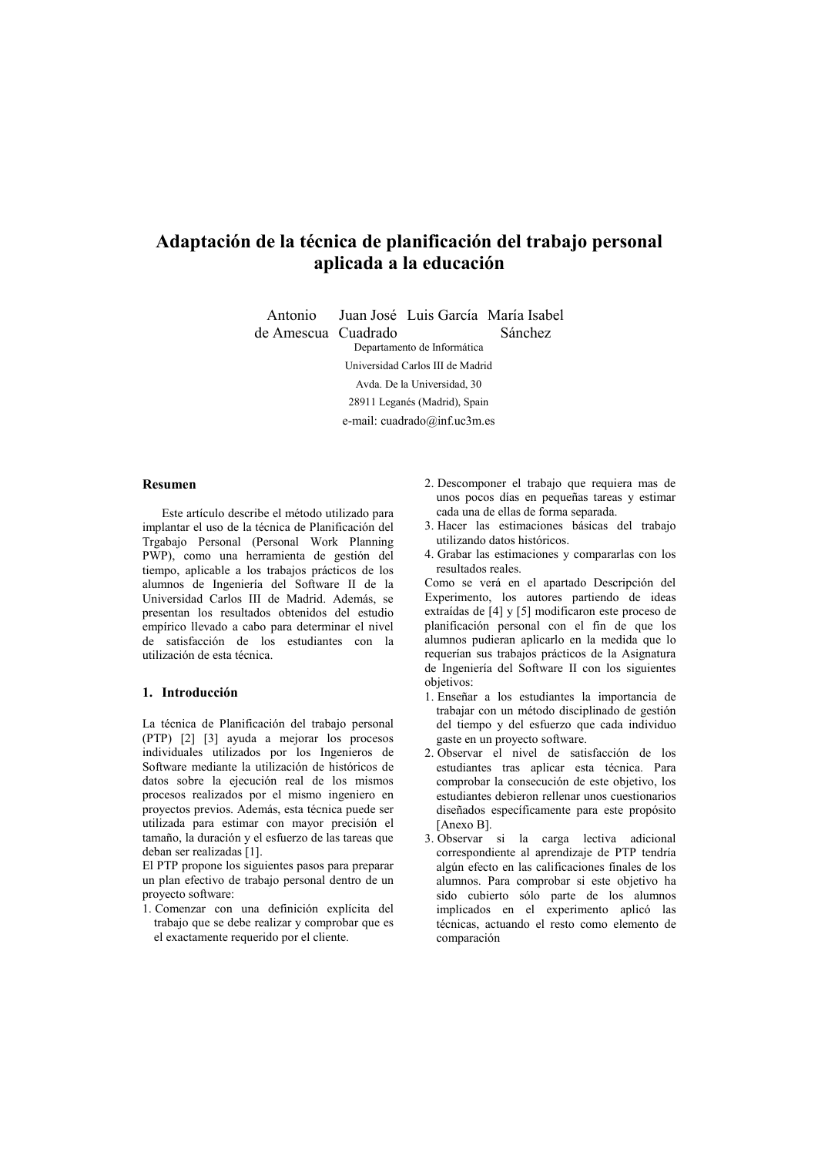# Adaptación de la técnica de planificación del trabaio personal aplicada a la educación

Juan José Luis García María Isabel Antonio de Amescua Cuadrado

Sánchez

Denartamento de Informática

Universidad Carlos III de Madrid

Avda De la Universidad 30

28911 Leganés (Madrid), Spain

e-mail: cuadrado@inf.uc3m.es

#### Resumen

Este artículo describe el método utilizado para implantar el uso de la técnica de Planificación del Trgabajo Personal (Personal Work Planning PWP), como una herramienta de gestión del tiempo, aplicable a los trabajos prácticos de los alumnos de Ingeniería del Software II de la Universidad Carlos III de Madrid. Además, se presentan los resultados obtenidos del estudio empírico llevado a cabo para determinar el nivel de satisfacción de los estudiantes con la utilización de esta técnica.

#### 1. Introducción

La técnica de Planificación del trabajo personal (PTP) [2] [3] ayuda a mejorar los procesos individuales utilizados por los Ingenieros de Software mediante la utilización de históricos de datos sobre la ejecución real de los mismos procesos realizados por el mismo ingeniero en proyectos previos. Además, esta técnica puede ser utilizada para estimar con mayor precisión el tamaño, la duración y el esfuerzo de las tareas que deban ser realizadas [1].

El PTP propone los siguientes pasos para preparar un plan efectivo de trabajo personal dentro de un proyecto software:

1. Comenzar con una definición explícita del trabajo que se debe realizar y comprobar que es el exactamente requerido por el cliente.

- 2. Descomponer el trabajo que requiera mas de unos pocos días en pequeñas tareas y estimar cada una de ellas de forma separada.
- 3. Hacer las estimaciones básicas del trabajo utilizando datos históricos.
- 4. Grabar las estimaciones y compararlas con los resultados reales.

Como se verá en el apartado Descripción del Experimento, los autores partiendo de ideas extraídas de [4] y [5] modificaron este proceso de planificación personal con el fin de que los alumnos pudieran aplicarlo en la medida que lo requerían sus trabajos prácticos de la Asignatura de Ingeniería del Software II con los siguientes objetivos:

- 1. Enseñar a los estudiantes la importancia de trabajar con un método disciplinado de gestión del tiempo y del esfuerzo que cada individuo gaste en un proyecto software.
- 2. Observar el nivel de satisfacción de los estudiantes tras aplicar esta técnica. Para comprobar la consecución de este objetivo, los estudiantes debieron rellenar unos cuestionarios diseñados específicamente para este propósito [Anexo B]
- 3. Observar si la carga lectiva adicional correspondiente al aprendizaje de PTP tendría algún efecto en las calificaciones finales de los alumnos. Para comprobar si este objetivo ha sido cubierto sólo parte de los alumnos implicados en el experimento aplicó las técnicas, actuando el resto como elemento de comparación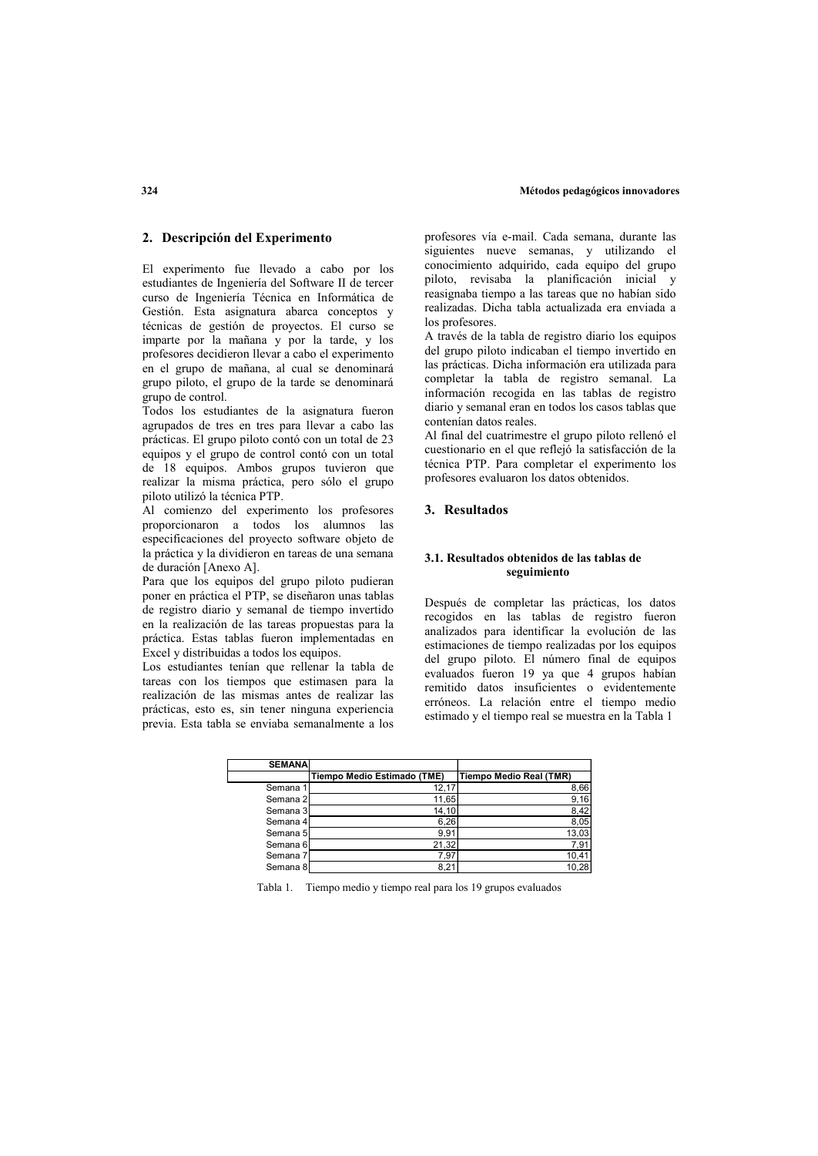#### 2. Descripción del Experimento

El experimento fue llevado a cabo por los estudiantes de Ingeniería del Software II de tercer curso de Ingeniería Técnica en Informática de Gestión. Esta asignatura abarca conceptos y técnicas de gestión de proyectos. El curso se imparte por la mañana y por la tarde, y los profesores decidieron llevar a cabo el experimento en el grupo de mañana, al cual se denominará grupo piloto, el grupo de la tarde se denominará grupo de control.

Todos los estudiantes de la asignatura fueron agrupados de tres en tres para llevar a cabo las prácticas. El grupo piloto contó con un total de 23 equipos y el grupo de control contó con un total de 18 equipos. Ambos grupos tuvieron que realizar la misma práctica, pero sólo el grupo piloto utilizó la técnica PTP.

Al comienzo del experimento los profesores proporcionaron a todos los alumnos las especificaciones del proyecto software objeto de la práctica y la dividieron en tareas de una semana de duración [Anexo A].

Para que los equipos del grupo piloto pudieran poner en práctica el PTP, se diseñaron unas tablas de registro diario y semanal de tiempo invertido en la realización de las tareas propuestas para la práctica. Estas tablas fueron implementadas en Excel y distribuidas a todos los equipos.

Los estudiantes tenían que rellenar la tabla de tareas con los tiempos que estimasen para la realización de las mismas antes de realizar las prácticas, esto es, sin tener ninguna experiencia previa. Esta tabla se enviaba semanalmente a los

profesores vía e-mail. Cada semana, durante las siguientes nueve semanas, y utilizando el conocimiento adquirido, cada equipo del grupo piloto, revisaba la planificación inicial y reasignaba tiempo a las tareas que no habían sido realizadas. Dicha tabla actualizada era enviada a los profesores

A través de la tabla de registro diario los equinos del grupo piloto indicaban el tiempo invertido en las prácticas. Dicha información era utilizada para completar la tabla de registro semanal. La información recogida en las tablas de registro diario y semanal eran en todos los casos tablas que contenían datos reales.

Al final del cuatrimestre el grupo piloto rellenó el cuestionario en el que reflejó la satisfacción de la técnica PTP. Para completar el experimento los profesores evaluaron los datos obtenidos.

# 3. Resultados

#### 3.1. Resultados obtenidos de las tablas de seguimiento

Después de completar las prácticas, los datos recogidos en las tablas de registro fueron analizados para identificar la evolución de las estimaciones de tiempo realizadas por los equipos del grupo piloto. El número final de equipos evaluados fueron 19 ya que 4 grupos habían remitido datos insuficientes o evidentemente erróneos. La relación entre el tiempo medio estimado y el tiempo real se muestra en la Tabla 1

| <b>SEMANA</b> |                             |                                |
|---------------|-----------------------------|--------------------------------|
|               | Tiempo Medio Estimado (TME) | <b>Tiempo Medio Real (TMR)</b> |
| Semana 1      | 12.17                       | 8,66                           |
| Semana 2      | 11,65                       | 9,16                           |
| Semana 3      | 14.10                       | 8,42                           |
| Semana 4      | 6,26                        | 8,05                           |
| Semana 5      | 9.91                        | 13,03                          |
| Semana 6      | 21,32                       | 7,91                           |
| Semana 7      | 7.97                        | 10,41                          |
| Semana 8      | 8.21                        | 10.28                          |

Tabla 1. Tiempo medio y tiempo real para los 19 grupos evaluados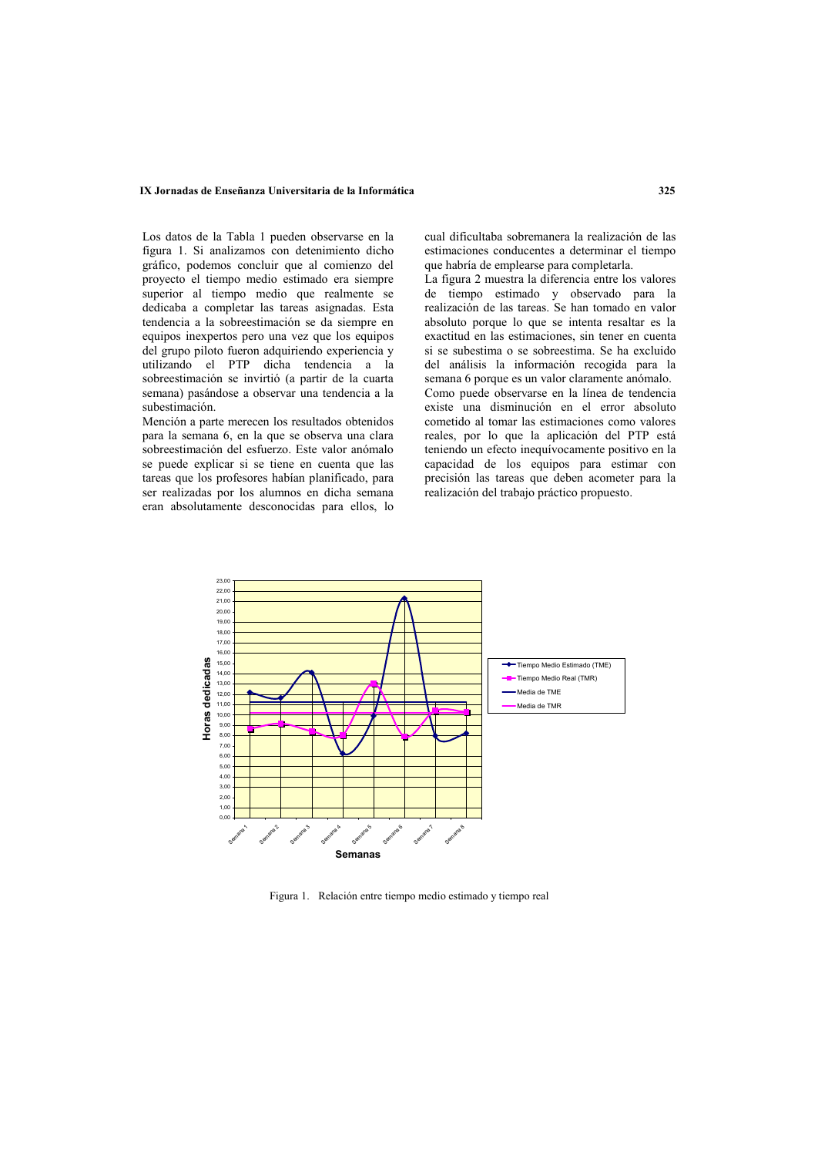#### IX Jornadas de Enseñanza Universitaria de la Informática

Los datos de la Tabla 1 pueden observarse en la figura 1. Si analizamos con detenimiento dicho gráfico, podemos concluir que al comienzo del proyecto el tiempo medio estimado era siempre superior al tiempo medio que realmente se dedicaba a completar las tareas asignadas. Esta tendencia a la sobreestimación se da siempre en equipos inexpertos pero una vez que los equipos del grupo piloto fueron adquiriendo experiencia v utilizando el PTP dicha tendencia a la sobreestimación se invirtió (a partir de la cuarta semana) pasándose a observar una tendencia a la subestimación.

Mención a parte merecen los resultados obtenidos para la semana 6, en la que se observa una clara sobreestimación del esfuerzo. Este valor anómalo se puede explicar si se tiene en cuenta que las tareas que los profesores habían planificado, para ser realizadas por los alumnos en dicha semana eran absolutamente desconocidas para ellos, lo cual dificultaba sobremanera la realización de las estimaciones conducentes a determinar el tiempo que habría de emplearse para completarla.

La figura 2 muestra la diferencia entre los valores de tiempo estimado y observado para la realización de las tareas. Se han tomado en valor absoluto porque lo que se intenta resaltar es la exactitud en las estimaciones, sin tener en cuenta si se subestima o se sobreestima. Se ha excluido del análisis la información recogida para la semana 6 porque es un valor claramente anómalo. Como puede observarse en la línea de tendencia existe una disminución en el error absoluto cometido al tomar las estimaciones como valores reales, por lo que la aplicación del PTP está teniendo un efecto inequívocamente positivo en la capacidad de los equipos para estimar con precisión las tareas que deben acometer para la realización del trabajo práctico propuesto.



Figura 1. Relación entre tiempo medio estimado y tiempo real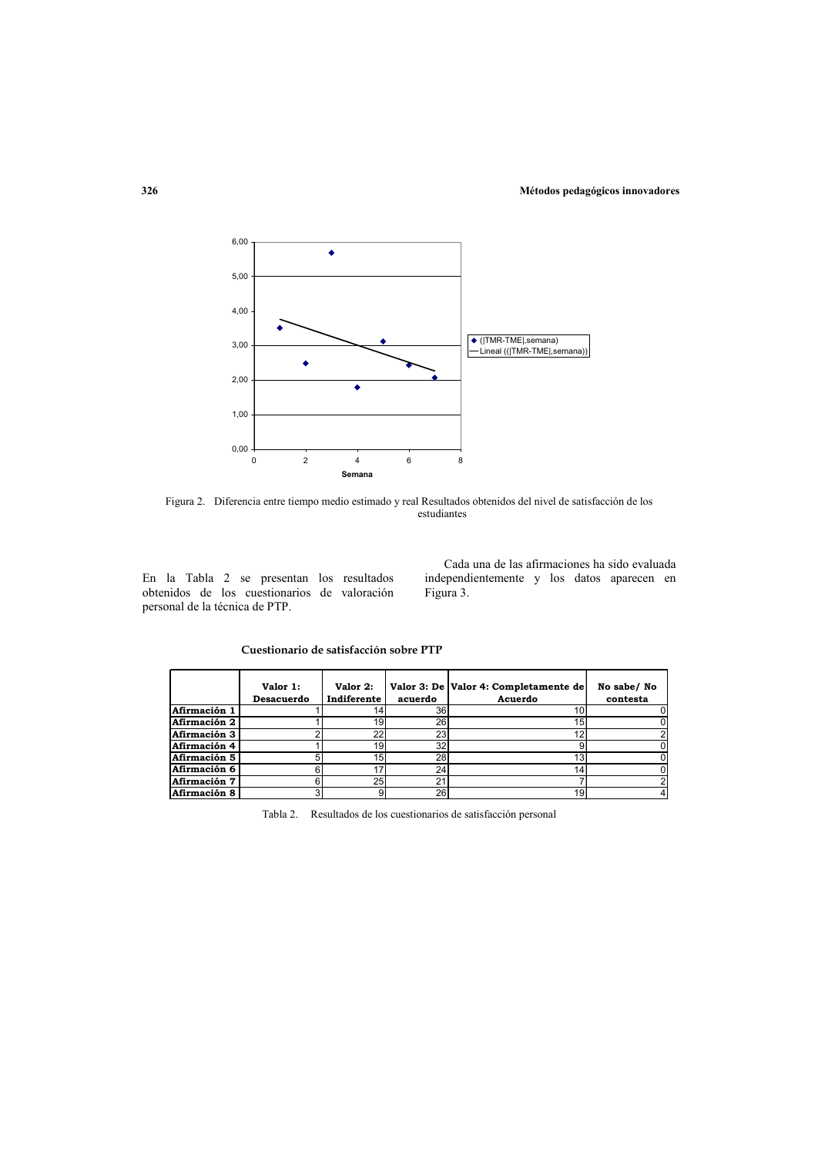

Figura 2. Diferencia entre tiempo medio estimado y real Resultados obtenidos del nivel de satisfacción de los estudiantes

En la Tabla 2 se presentan los resultados obtenidos de los cuestionarios de valoración personal de la técnica de PTP.

Cada una de las afirmaciones ha sido evaluada independientemente y los datos aparecen en Figura 3.

Cuestionario de satisfacción sobre PTP

|              | Valor 1:<br>Desacuerdo | Valor 2:<br>Indiferente | acuerdo | Valor 3: De Valor 4: Completamente de<br>Acuerdo | No sabe/ No<br>contesta |
|--------------|------------------------|-------------------------|---------|--------------------------------------------------|-------------------------|
| Afirmación 1 |                        |                         | 36      | 10 <sub>1</sub>                                  |                         |
| Afirmación 2 |                        | 19                      | 26      | 15                                               |                         |
| Afirmación 3 |                        | 22                      | 23      | $\sim$                                           |                         |
| Afirmación 4 |                        | 19                      | 32      |                                                  |                         |
| Afirmación 5 |                        | 15 <sub>l</sub>         | 28      | 13                                               |                         |
| Afirmación 6 |                        |                         | 24      |                                                  |                         |
| Afirmación 7 |                        | 25                      | n.      |                                                  |                         |
| Afirmación 8 |                        |                         | 26      | 19                                               | 4                       |

Tabla 2. Resultados de los cuestionarios de satisfacción personal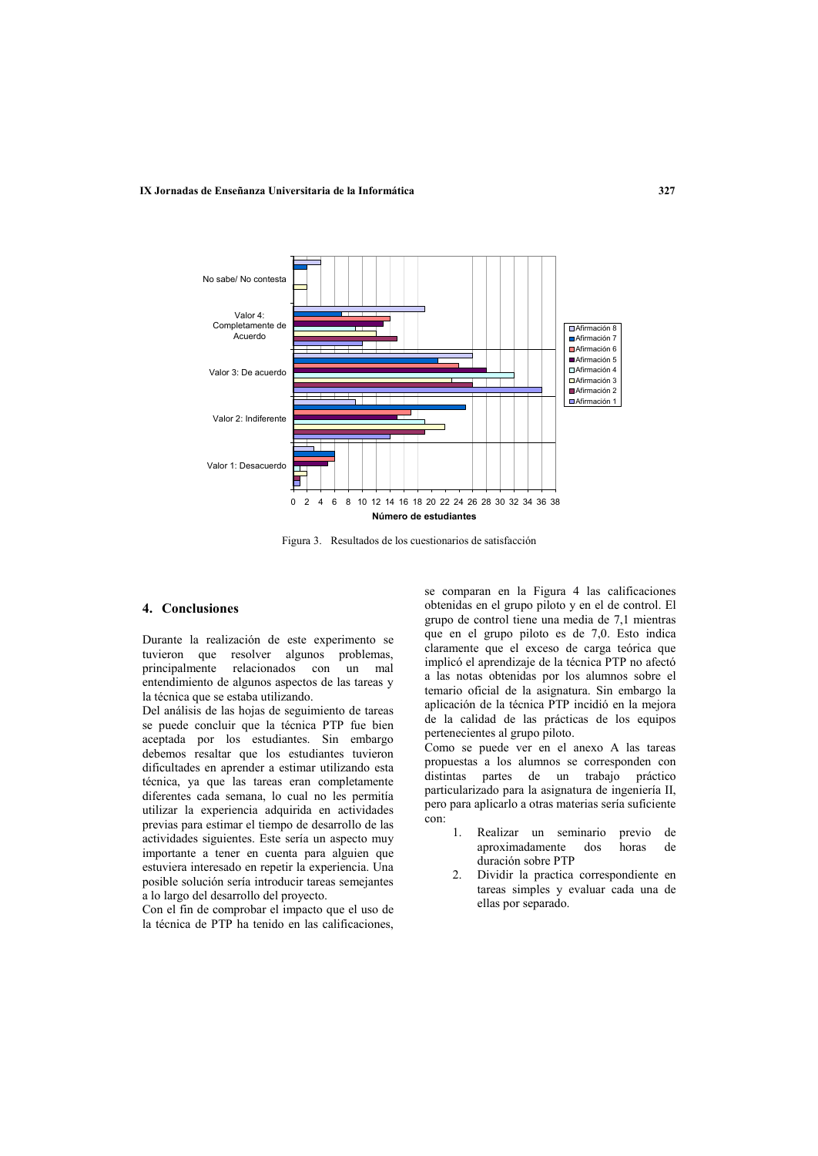

Figura 3. Resultados de los cuestionarios de satisfacción

# 4. Conclusiones

Durante la realización de este experimento se tuvieron que resolver algunos problemas, principalmente relacionados con un mal entendimiento de algunos aspectos de las tareas y la técnica que se estaba utilizando.

Del análisis de las hojas de seguimiento de tareas se puede concluir que la técnica PTP fue bien aceptada por los estudiantes. Sin embargo debemos resaltar que los estudiantes tuvieron dificultades en aprender a estimar utilizando esta técnica, ya que las tareas eran completamente diferentes cada semana, lo cual no les permitía utilizar la experiencia adquirida en actividades previas para estimar el tiempo de desarrollo de las actividades siguientes. Este sería un aspecto muy importante a tener en cuenta para alguien que estuviera interesado en repetir la experiencia. Una posible solución sería introducir tareas semejantes a lo largo del desarrollo del proyecto.

Con el fin de comprobar el impacto que el uso de la técnica de PTP ha tenido en las calificaciones,

se comparan en la Figura 4 las calificaciones obtenidas en el grupo piloto y en el de control. El grupo de control tiene una media de 7,1 mientras que en el grupo piloto es de 7,0. Esto indica claramente que el exceso de carga teórica que implicó el aprendizaje de la técnica PTP no afectó a las notas obtenidas por los alumnos sobre el temario oficial de la asignatura. Sin embargo la aplicación de la técnica PTP incidió en la mejora de la calidad de las prácticas de los equipos pertenecientes al grupo piloto.

Como se puede ver en el anexo A las tareas propuestas a los alumnos se corresponden con distintas partes de un trabajo práctico particularizado para la asignatura de ingeniería II, pero para aplicarlo a otras materias sería suficiente con<sup>-</sup>

- $\mathbf{1}$ Realizar un seminario previo de aproximadamente dos horas  $de$ duración sobre PTP
- $2^{\circ}$ Dividir la practica correspondiente en tareas simples y evaluar cada una de ellas por separado.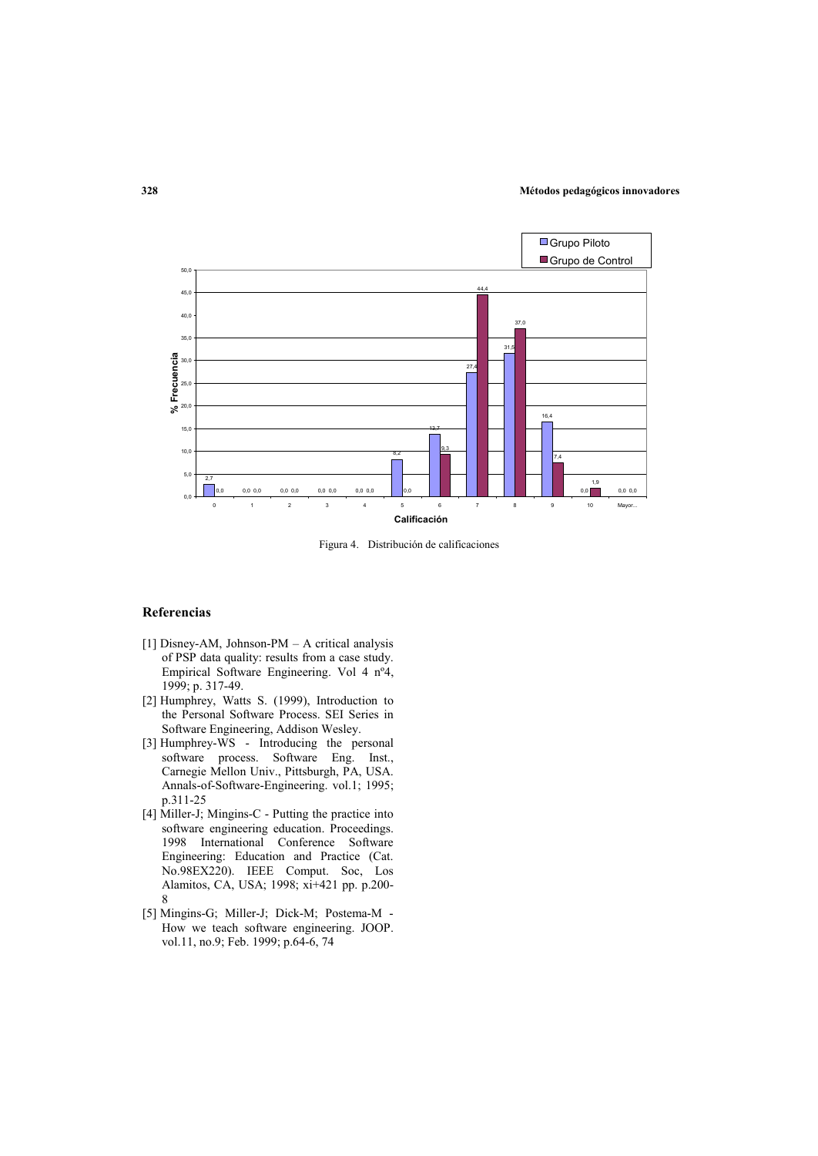

Figura 4. Distribución de calificaciones

### Referencias

- [1] Disney-AM, Johnson-PM A critical analysis of PSP data quality: results from a case study. Empirical Software Engineering. Vol 4 nº4, 1999; p. 317-49.
- [2] Humphrey, Watts S. (1999), Introduction to the Personal Software Process. SEI Series in Software Engineering, Addison Wesley.
- [3] Humphrey-WS Introducing the personal software process. Software Eng. Inst., Carnegie Mellon Univ., Pittsburgh, PA, USA. Annals-of-Software-Engineering. vol.1; 1995; p.311-25
- [4] Miller-J; Mingins-C Putting the practice into software engineering education. Proceedings. 1998 International Conference Software Engineering: Education and Practice (Cat. No.98EX220). IEEE Comput. Soc. Los Alamitos, CA, USA; 1998; xi+421 pp. p.200- $\mathbf{Q}$
- [5] Mingins-G; Miller-J; Dick-M; Postema-M -How we teach software engineering. JOOP. vol.11, no.9; Feb. 1999; p.64-6, 74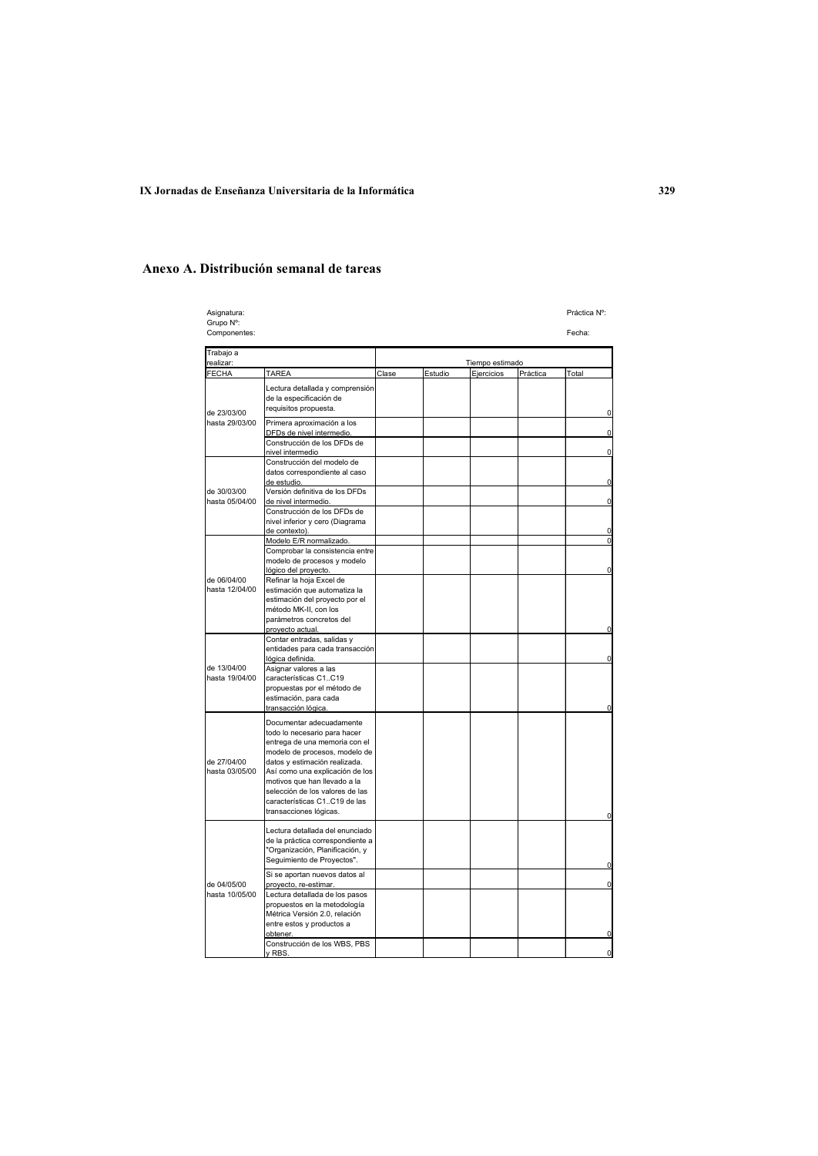|                                                                                                                                                                                                                                                                                                                             |                                                     |                 |         |            | Práctica Nº:                      |  |
|-----------------------------------------------------------------------------------------------------------------------------------------------------------------------------------------------------------------------------------------------------------------------------------------------------------------------------|-----------------------------------------------------|-----------------|---------|------------|-----------------------------------|--|
| Grupo Nº:<br>Componentes:                                                                                                                                                                                                                                                                                                   |                                                     |                 |         |            |                                   |  |
|                                                                                                                                                                                                                                                                                                                             |                                                     |                 |         |            |                                   |  |
| realizar:<br><b>FECHA</b>                                                                                                                                                                                                                                                                                                   |                                                     | Tiempo estimado |         |            |                                   |  |
| Lectura detallada y comprensión<br>de la especificación de<br>requisitos propuesta.<br>Primera aproximación a los<br>DFDs de nivel intermedio.<br>Construcción de los DFDs de                                                                                                                                               |                                                     |                 |         |            | Total<br>O<br>$\Omega$            |  |
| Construcción del modelo de<br>datos correspondiente al caso<br>de estudio.<br>Versión definitiva de los DFDs<br>de nivel intermedio.<br>Construcción de los DFDs de<br>nivel inferior y cero (Diagrama                                                                                                                      |                                                     |                 |         |            | $\Omega$<br>0<br>$\mathbf 0$<br>0 |  |
| Modelo E/R normalizado.<br>Comprobar la consistencia entre<br>modelo de procesos y modelo<br>lógico del proyecto.<br>Refinar la hoja Excel de<br>estimación que automatiza la<br>estimación del proyecto por el<br>método MK-II, con los<br>parámetros concretos del<br>provecto actual.                                    |                                                     |                 |         |            | $\Omega$<br>Ò                     |  |
| Contar entradas, salidas y<br>entidades para cada transacción<br>lógica definida.<br>Asignar valores a las<br>características C1C19<br>propuestas por el método de<br>estimación, para cada<br>transacción lógica.                                                                                                          |                                                     |                 |         |            | n                                 |  |
| Documentar adecuadamente<br>todo lo necesario para hacer<br>entrega de una memoria con el<br>modelo de procesos, modelo de<br>datos y estimación realizada.<br>Así como una explicación de los<br>motivos que han llevado a la<br>selección de los valores de las<br>características C1C19 de las<br>transacciones lógicas. |                                                     |                 |         |            |                                   |  |
| Lectura detallada del enunciado<br>de la práctica correspondiente a<br>"Organización, Planificación, y<br>Seguimiento de Proyectos".                                                                                                                                                                                        |                                                     |                 |         |            | O                                 |  |
| Si se aportan nuevos datos al<br>proyecto, re-estimar.<br>Lectura detallada de los pasos<br>propuestos en la metodología<br>Métrica Versión 2.0, relación<br>entre estos y productos a<br>obtener.<br>Construcción de los WBS, PBS                                                                                          |                                                     |                 |         |            | 0                                 |  |
|                                                                                                                                                                                                                                                                                                                             | TAREA<br>nivel intermedio<br>de contexto).<br>v RBS | Clase           | Estudio | Ejercicios | Práctica                          |  |

# Anexo A. Distribución semanal de tareas